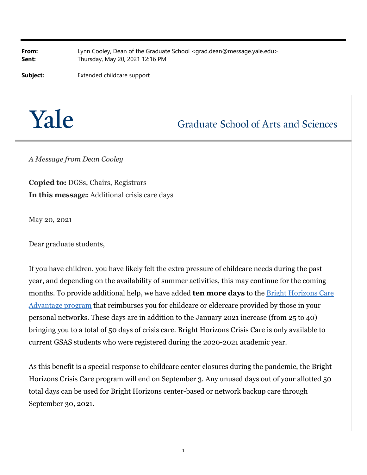**From:** Lynn Cooley, Dean of the Graduate School <grad.dean@message.yale.edu> **Sent:** Thursday, May 20, 2021 12:16 PM

**Subject:** Extended childcare support

## Yale

**Graduate School of Arts and Sciences** 

*A Message from Dean Cooley*

**Copied to:** DGSs, Chairs, Registrars **In this message:** Additional crisis care days

May 20, 2021

Dear graduate students,

If you have children, you have likely felt the extra pressure of childcare needs during the past year, and depending on the availability of summer activities, this may continue for the coming months. To provide additional help, we have added **ten more days** to the Bright Horizons Care Advantage program that reimburses you for childcare or eldercare provided by those in your personal networks. These days are in addition to the January 2021 increase (from 25 to 40) bringing you to a total of 50 days of crisis care. Bright Horizons Crisis Care is only available to current GSAS students who were registered during the 2020-2021 academic year.

As this benefit is a special response to childcare center closures during the pandemic, the Bright Horizons Crisis Care program will end on September 3. Any unused days out of your allotted 50 total days can be used for Bright Horizons center-based or network backup care through September 30, 2021.